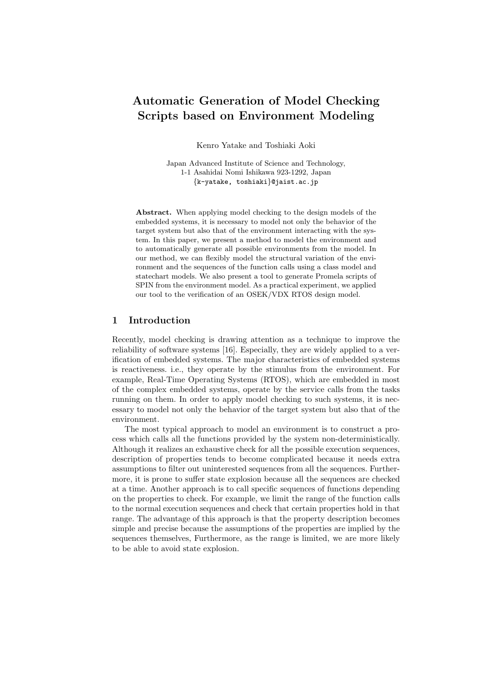# Automatic Generation of Model Checking Scripts based on Environment Modeling

Kenro Yatake and Toshiaki Aoki

Japan Advanced Institute of Science and Technology, 1-1 Asahidai Nomi Ishikawa 923-1292, Japan {k-yatake, toshiaki}@jaist.ac.jp

Abstract. When applying model checking to the design models of the embedded systems, it is necessary to model not only the behavior of the target system but also that of the environment interacting with the system. In this paper, we present a method to model the environment and to automatically generate all possible environments from the model. In our method, we can flexibly model the structural variation of the environment and the sequences of the function calls using a class model and statechart models. We also present a tool to generate Promela scripts of SPIN from the environment model. As a practical experiment, we applied our tool to the verification of an OSEK/VDX RTOS design model.

### 1 Introduction

Recently, model checking is drawing attention as a technique to improve the reliability of software systems [16]. Especially, they are widely applied to a verification of embedded systems. The major characteristics of embedded systems is reactiveness. i.e., they operate by the stimulus from the environment. For example, Real-Time Operating Systems (RTOS), which are embedded in most of the complex embedded systems, operate by the service calls from the tasks running on them. In order to apply model checking to such systems, it is necessary to model not only the behavior of the target system but also that of the environment.

The most typical approach to model an environment is to construct a process which calls all the functions provided by the system non-deterministically. Although it realizes an exhaustive check for all the possible execution sequences, description of properties tends to become complicated because it needs extra assumptions to filter out uninterested sequences from all the sequences. Furthermore, it is prone to suffer state explosion because all the sequences are checked at a time. Another approach is to call specific sequences of functions depending on the properties to check. For example, we limit the range of the function calls to the normal execution sequences and check that certain properties hold in that range. The advantage of this approach is that the property description becomes simple and precise because the assumptions of the properties are implied by the sequences themselves, Furthermore, as the range is limited, we are more likely to be able to avoid state explosion.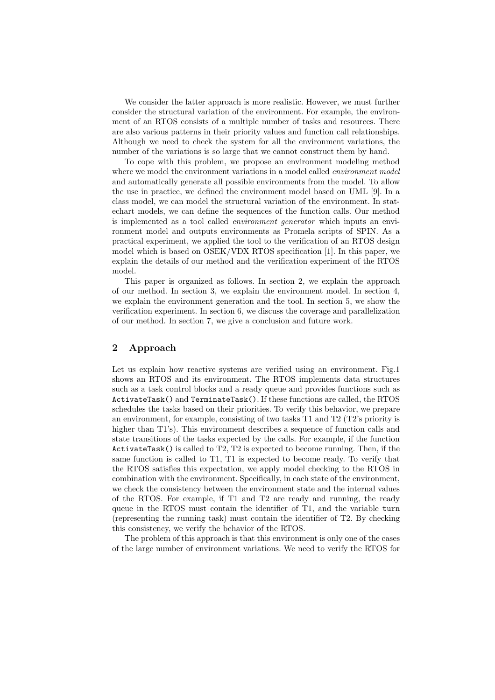We consider the latter approach is more realistic. However, we must further consider the structural variation of the environment. For example, the environment of an RTOS consists of a multiple number of tasks and resources. There are also various patterns in their priority values and function call relationships. Although we need to check the system for all the environment variations, the number of the variations is so large that we cannot construct them by hand.

To cope with this problem, we propose an environment modeling method where we model the environment variations in a model called *environment model* and automatically generate all possible environments from the model. To allow the use in practice, we defined the environment model based on UML [9]. In a class model, we can model the structural variation of the environment. In statechart models, we can define the sequences of the function calls. Our method is implemented as a tool called *environment generator* which inputs an environment model and outputs environments as Promela scripts of SPIN. As a practical experiment, we applied the tool to the verification of an RTOS design model which is based on OSEK/VDX RTOS specification [1]. In this paper, we explain the details of our method and the verification experiment of the RTOS model.

This paper is organized as follows. In section 2, we explain the approach of our method. In section 3, we explain the environment model. In section 4, we explain the environment generation and the tool. In section 5, we show the verification experiment. In section 6, we discuss the coverage and parallelization of our method. In section 7, we give a conclusion and future work.

# 2 Approach

Let us explain how reactive systems are verified using an environment. Fig.1 shows an RTOS and its environment. The RTOS implements data structures such as a task control blocks and a ready queue and provides functions such as ActivateTask() and TerminateTask(). If these functions are called, the RTOS schedules the tasks based on their priorities. To verify this behavior, we prepare an environment, for example, consisting of two tasks T1 and T2 (T2's priority is higher than T1's). This environment describes a sequence of function calls and state transitions of the tasks expected by the calls. For example, if the function ActivateTask() is called to T2, T2 is expected to become running. Then, if the same function is called to T1, T1 is expected to become ready. To verify that the RTOS satisfies this expectation, we apply model checking to the RTOS in combination with the environment. Specifically, in each state of the environment, we check the consistency between the environment state and the internal values of the RTOS. For example, if T1 and T2 are ready and running, the ready queue in the RTOS must contain the identifier of T1, and the variable turn (representing the running task) must contain the identifier of T2. By checking this consistency, we verify the behavior of the RTOS.

The problem of this approach is that this environment is only one of the cases of the large number of environment variations. We need to verify the RTOS for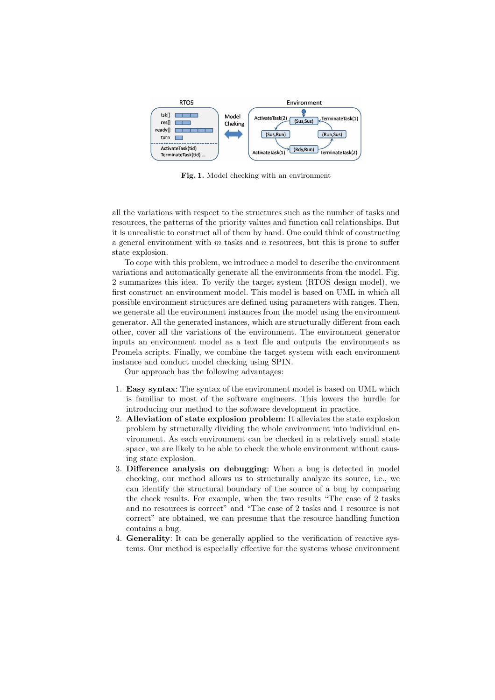

Fig. 1. Model checking with an environment

all the variations with respect to the structures such as the number of tasks and resources, the patterns of the priority values and function call relationships. But it is unrealistic to construct all of them by hand. One could think of constructing a general environment with  $m$  tasks and  $n$  resources, but this is prone to suffer state explosion.

To cope with this problem, we introduce a model to describe the environment variations and automatically generate all the environments from the model. Fig. 2 summarizes this idea. To verify the target system (RTOS design model), we first construct an environment model. This model is based on UML in which all possible environment structures are defined using parameters with ranges. Then, we generate all the environment instances from the model using the environment generator. All the generated instances, which are structurally different from each other, cover all the variations of the environment. The environment generator inputs an environment model as a text file and outputs the environments as Promela scripts. Finally, we combine the target system with each environment instance and conduct model checking using SPIN.

Our approach has the following advantages:

- 1. Easy syntax: The syntax of the environment model is based on UML which is familiar to most of the software engineers. This lowers the hurdle for introducing our method to the software development in practice.
- 2. Alleviation of state explosion problem: It alleviates the state explosion problem by structurally dividing the whole environment into individual environment. As each environment can be checked in a relatively small state space, we are likely to be able to check the whole environment without causing state explosion.
- 3. Difference analysis on debugging: When a bug is detected in model checking, our method allows us to structurally analyze its source, i.e., we can identify the structural boundary of the source of a bug by comparing the check results. For example, when the two results "The case of 2 tasks and no resources is correct" and "The case of 2 tasks and 1 resource is not correct" are obtained, we can presume that the resource handling function contains a bug.
- 4. Generality: It can be generally applied to the verification of reactive systems. Our method is especially effective for the systems whose environment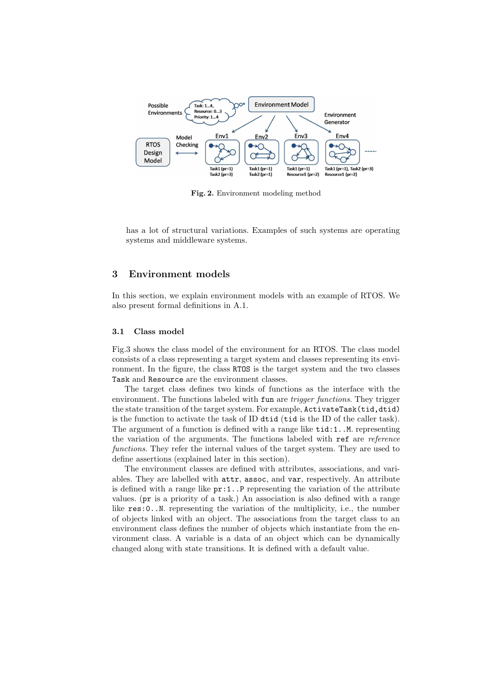

Fig. 2. Environment modeling method

has a lot of structural variations. Examples of such systems are operating systems and middleware systems.

# 3 Environment models

In this section, we explain environment models with an example of RTOS. We also present formal definitions in A.1.

# 3.1 Class model

Fig.3 shows the class model of the environment for an RTOS. The class model consists of a class representing a target system and classes representing its environment. In the figure, the class RTOS is the target system and the two classes Task and Resource are the environment classes.

The target class defines two kinds of functions as the interface with the environment. The functions labeled with fun are *trigger functions*. They trigger the state transition of the target system. For example, ActivateTask(tid,dtid) is the function to activate the task of ID dtid (tid is the ID of the caller task). The argument of a function is defined with a range like  $\text{tid:1..M}$ . representing the variation of the arguments. The functions labeled with ref are *reference functions*. They refer the internal values of the target system. They are used to define assertions (explained later in this section).

The environment classes are defined with attributes, associations, and variables. They are labelled with attr, assoc, and var, respectively. An attribute is defined with a range like  $pr:1$ . P representing the variation of the attribute values. (pr is a priority of a task.) An association is also defined with a range like res:0..N. representing the variation of the multiplicity, i.e., the number of objects linked with an object. The associations from the target class to an environment class defines the number of objects which instantiate from the environment class. A variable is a data of an object which can be dynamically changed along with state transitions. It is defined with a default value.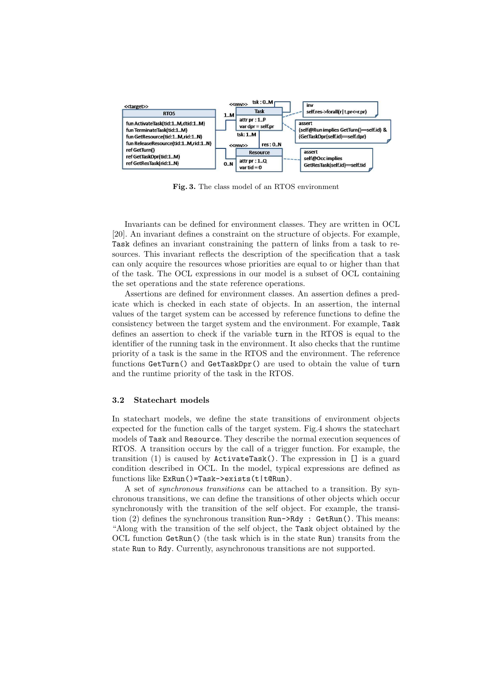

Fig. 3. The class model of an RTOS environment

Invariants can be defined for environment classes. They are written in OCL [20]. An invariant defines a constraint on the structure of objects. For example, Task defines an invariant constraining the pattern of links from a task to resources. This invariant reflects the description of the specification that a task can only acquire the resources whose priorities are equal to or higher than that of the task. The OCL expressions in our model is a subset of OCL containing the set operations and the state reference operations.

Assertions are defined for environment classes. An assertion defines a predicate which is checked in each state of objects. In an assertion, the internal values of the target system can be accessed by reference functions to define the consistency between the target system and the environment. For example, Task defines an assertion to check if the variable turn in the RTOS is equal to the identifier of the running task in the environment. It also checks that the runtime priority of a task is the same in the RTOS and the environment. The reference functions GetTurn() and GetTaskDpr() are used to obtain the value of turn and the runtime priority of the task in the RTOS.

#### 3.2 Statechart models

In statechart models, we define the state transitions of environment objects expected for the function calls of the target system. Fig.4 shows the statechart models of Task and Resource. They describe the normal execution sequences of RTOS. A transition occurs by the call of a trigger function. For example, the transition (1) is caused by ActivateTask(). The expression in [] is a guard condition described in OCL. In the model, typical expressions are defined as functions like ExRun()=Task->exists(t|t@Run).

A set of *synchronous transitions* can be attached to a transition. By synchronous transitions, we can define the transitions of other objects which occur synchronously with the transition of the self object. For example, the transition (2) defines the synchronous transition Run->Rdy : GetRun(). This means: "Along with the transition of the self object, the Task object obtained by the OCL function GetRun() (the task which is in the state Run) transits from the state Run to Rdy. Currently, asynchronous transitions are not supported.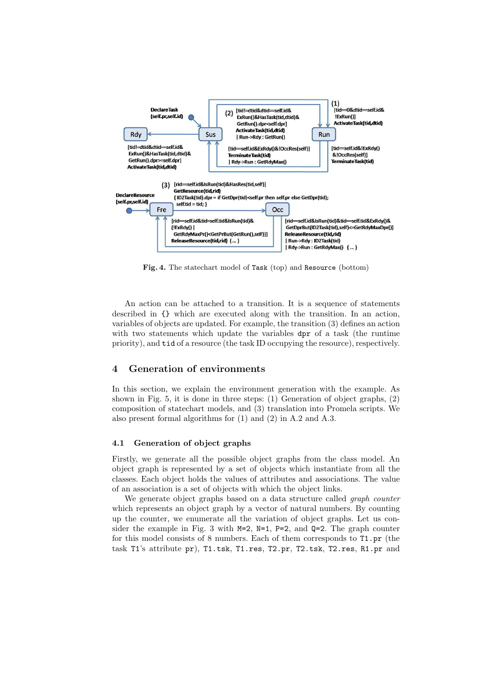

Fig. 4. The statechart model of Task (top) and Resource (bottom)

An action can be attached to a transition. It is a sequence of statements described in {} which are executed along with the transition. In an action, variables of objects are updated. For example, the transition (3) defines an action with two statements which update the variables **dpr** of a task (the runtime priority), and tid of a resource (the task ID occupying the resource), respectively.

# 4 Generation of environments

In this section, we explain the environment generation with the example. As shown in Fig. 5, it is done in three steps: (1) Generation of object graphs, (2) composition of statechart models, and (3) translation into Promela scripts. We also present formal algorithms for (1) and (2) in A.2 and A.3.

#### 4.1 Generation of object graphs

Firstly, we generate all the possible object graphs from the class model. An object graph is represented by a set of objects which instantiate from all the classes. Each object holds the values of attributes and associations. The value of an association is a set of objects with which the object links.

We generate object graphs based on a data structure called *graph counter* which represents an object graph by a vector of natural numbers. By counting up the counter, we enumerate all the variation of object graphs. Let us consider the example in Fig. 3 with  $M=2$ ,  $N=1$ ,  $P=2$ , and  $Q=2$ . The graph counter for this model consists of 8 numbers. Each of them corresponds to T1.pr (the task T1's attribute pr), T1.tsk, T1.res, T2.pr, T2.tsk, T2.res, R1.pr and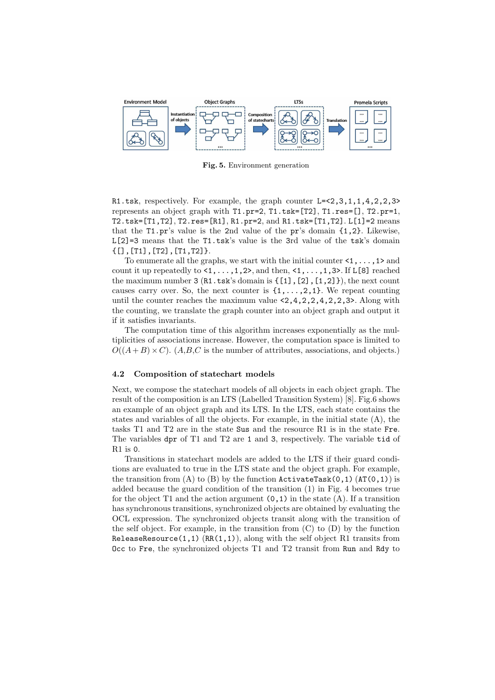

Fig. 5. Environment generation

R1.tsk, respectively. For example, the graph counter L=<2,3,1,1,4,2,2,3> represents an object graph with T1.pr=2, T1.tsk=[T2], T1.res=[], T2.pr=1, T2.tsk=[T1,T2], T2.res=[R1], R1.pr=2, and R1.tsk=[T1,T2]. L[1]=2 means that the T1.pr's value is the 2nd value of the pr's domain {1,2}. Likewise,  $\mathtt{L[2]=}3$  means that the  $\mathtt{T1.tsk}'s$  value is the 3rd value of the  $\mathtt{tsk}'s$  domain  ${[T1],[T1],[T2],[T1,T2]}$ .

To enumerate all the graphs, we start with the initial counter  $\langle 1, \ldots, 1 \rangle$  and count it up repeatedly to  $\langle 1, \ldots, 1, 2 \rangle$ , and then,  $\langle 1, \ldots, 1, 3 \rangle$ . If L[8] reached the maximum number  $3(R1.tsk's domain is  $\{[1], [2], [1,2]\}\)$ , the next count$ causes carry over. So, the next counter is  $\{1,\ldots,2,1\}$ . We repeat counting until the counter reaches the maximum value  $\leq 2, 4, 2, 2, 4, 2, 2, 3$ . Along with the counting, we translate the graph counter into an object graph and output it if it satisfies invariants.

The computation time of this algorithm increases exponentially as the multiplicities of associations increase. However, the computation space is limited to  $O((A+B) \times C)$ . (A,B,C is the number of attributes, associations, and objects.)

#### 4.2 Composition of statechart models

Next, we compose the statechart models of all objects in each object graph. The result of the composition is an LTS (Labelled Transition System) [8]. Fig.6 shows an example of an object graph and its LTS. In the LTS, each state contains the states and variables of all the objects. For example, in the initial state (A), the tasks T1 and T2 are in the state Sus and the resource R1 is in the state Fre. The variables dpr of T1 and T2 are 1 and 3, respectively. The variable tid of R1 is 0.

Transitions in statechart models are added to the LTS if their guard conditions are evaluated to true in the LTS state and the object graph. For example, the transition from  $(A)$  to  $(B)$  by the function ActivateTask(0,1) (AT(0,1)) is added because the guard condition of the transition (1) in Fig. 4 becomes true for the object T1 and the action argument  $(0,1)$  in the state  $(A)$ . If a transition has synchronous transitions, synchronized objects are obtained by evaluating the OCL expression. The synchronized objects transit along with the transition of the self object. For example, in the transition from  $(C)$  to  $(D)$  by the function ReleaseResource(1,1)  $(RR(1,1))$ , along with the self object R1 transits from Occ to Fre, the synchronized objects T1 and T2 transit from Run and Rdy to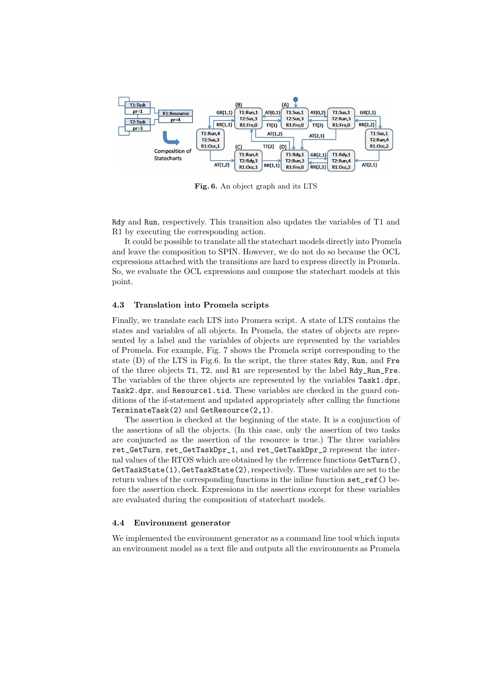

Fig. 6. An object graph and its LTS

Rdy and Run, respectively. This transition also updates the variables of T1 and R1 by executing the corresponding action.

It could be possible to translate all the statechart models directly into Promela and leave the composition to SPIN. However, we do not do so because the OCL expressions attached with the transitions are hard to express directly in Promela. So, we evaluate the OCL expressions and compose the statechart models at this point.

#### 4.3 Translation into Promela scripts

Finally, we translate each LTS into Promera script. A state of LTS contains the states and variables of all objects. In Promela, the states of objects are represented by a label and the variables of objects are represented by the variables of Promela. For example, Fig. 7 shows the Promela script corresponding to the state (D) of the LTS in Fig.6. In the script, the three states Rdy, Run, and Fre of the three objects T1, T2, and R1 are represented by the label Rdy\_Run\_Fre. The variables of the three objects are represented by the variables Task1.dpr, Task2.dpr, and Resource1.tid. These variables are checked in the guard conditions of the if-statement and updated appropriately after calling the functions TerminateTask(2) and GetResource(2,1).

The assertion is checked at the beginning of the state. It is a conjunction of the assertions of all the objects. (In this case, only the assertion of two tasks are conjuncted as the assertion of the resource is true.) The three variables ret\_GetTurn, ret\_GetTaskDpr\_1, and ret\_GetTaskDpr\_2 represent the internal values of the RTOS which are obtained by the reference functions GetTurn(), GetTaskState(1), GetTaskState(2), respectively. These variables are set to the return values of the corresponding functions in the inline function set\_ref() before the assertion check. Expressions in the assertions except for these variables are evaluated during the composition of statechart models.

#### 4.4 Environment generator

We implemented the environment generator as a command line tool which inputs an environment model as a text file and outputs all the environments as Promela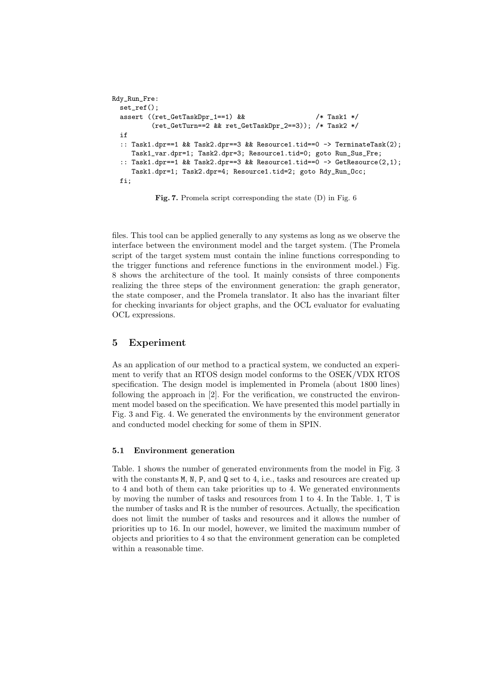```
Rdy_Run_Fre:
 set_ref();
 assert ((ret_GetTaskDpr_1==1) & \& /* Task1 */
         (ret_GetTurn==2 && ret_GetTaskDpr_2==3)); /* Task2 */
if
 :: Task1.dpr==1 && Task2.dpr==3 && Resource1.tid==0 -> TerminateTask(2);
    Task1_var.dpr=1; Task2.dpr=3; Resource1.tid=0; goto Run_Sus_Fre;
 :: Task1.dpr==1 && Task2.dpr==3 && Resource1.tid==0 -> GetResource(2,1);
    Task1.dpr=1; Task2.dpr=4; Resource1.tid=2; goto Rdy_Run_Occ;
fi;
```
Fig. 7. Promela script corresponding the state (D) in Fig. 6

files. This tool can be applied generally to any systems as long as we observe the interface between the environment model and the target system. (The Promela script of the target system must contain the inline functions corresponding to the trigger functions and reference functions in the environment model.) Fig. 8 shows the architecture of the tool. It mainly consists of three components realizing the three steps of the environment generation: the graph generator, the state composer, and the Promela translator. It also has the invariant filter for checking invariants for object graphs, and the OCL evaluator for evaluating OCL expressions.

# 5 Experiment

As an application of our method to a practical system, we conducted an experiment to verify that an RTOS design model conforms to the OSEK/VDX RTOS specification. The design model is implemented in Promela (about 1800 lines) following the approach in [2]. For the verification, we constructed the environment model based on the specification. We have presented this model partially in Fig. 3 and Fig. 4. We generated the environments by the environment generator and conducted model checking for some of them in SPIN.

# 5.1 Environment generation

Table. 1 shows the number of generated environments from the model in Fig. 3 with the constants M, N, P, and Q set to 4, i.e., tasks and resources are created up to 4 and both of them can take priorities up to 4. We generated environments by moving the number of tasks and resources from 1 to 4. In the Table. 1, T is the number of tasks and R is the number of resources. Actually, the specification does not limit the number of tasks and resources and it allows the number of priorities up to 16. In our model, however, we limited the maximum number of objects and priorities to 4 so that the environment generation can be completed within a reasonable time.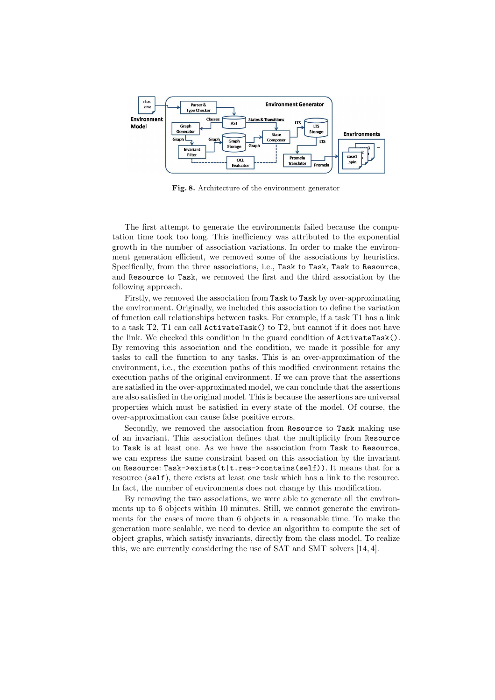

Fig. 8. Architecture of the environment generator

The first attempt to generate the environments failed because the computation time took too long. This inefficiency was attributed to the exponential growth in the number of association variations. In order to make the environment generation efficient, we removed some of the associations by heuristics. Specifically, from the three associations, i.e., Task to Task, Task to Resource, and Resource to Task, we removed the first and the third association by the following approach.

Firstly, we removed the association from Task to Task by over-approximating the environment. Originally, we included this association to define the variation of function call relationships between tasks. For example, if a task T1 has a link to a task T2, T1 can call ActivateTask() to T2, but cannot if it does not have the link. We checked this condition in the guard condition of ActivateTask(). By removing this association and the condition, we made it possible for any tasks to call the function to any tasks. This is an over-approximation of the environment, i.e., the execution paths of this modified environment retains the execution paths of the original environment. If we can prove that the assertions are satisfied in the over-approximated model, we can conclude that the assertions are also satisfied in the original model. This is because the assertions are universal properties which must be satisfied in every state of the model. Of course, the over-approximation can cause false positive errors.

Secondly, we removed the association from Resource to Task making use of an invariant. This association defines that the multiplicity from Resource to Task is at least one. As we have the association from Task to Resource, we can express the same constraint based on this association by the invariant on Resource: Task->exists(t|t.res->contains(self)). It means that for a resource (self), there exists at least one task which has a link to the resource. In fact, the number of environments does not change by this modification.

By removing the two associations, we were able to generate all the environments up to 6 objects within 10 minutes. Still, we cannot generate the environments for the cases of more than 6 objects in a reasonable time. To make the generation more scalable, we need to device an algorithm to compute the set of object graphs, which satisfy invariants, directly from the class model. To realize this, we are currently considering the use of SAT and SMT solvers [14, 4].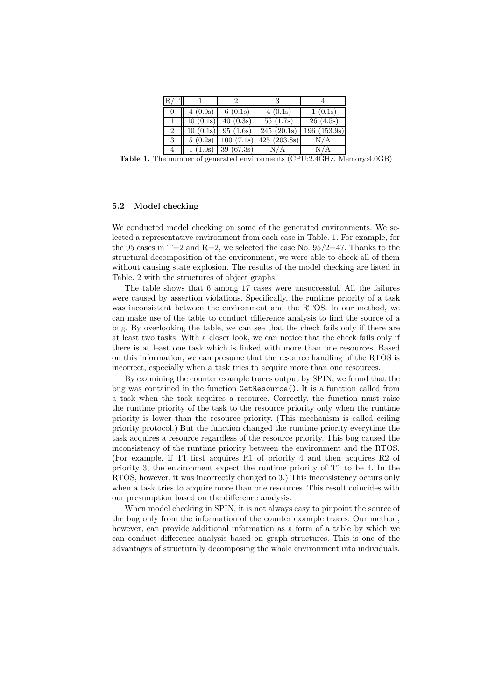| R/T |          | ٠,                    |                           |             |  |  |
|-----|----------|-----------------------|---------------------------|-------------|--|--|
| 0   | 4(0.0s)  | 6(0.1s)               | 4(0.1s)                   | 1(0.1s)     |  |  |
|     | 10(0.1s) | 40(0.3s)              | $55 \; (\overline{1.7s})$ | 26(4.5s)    |  |  |
| 2   | 10(0.1s) | 95(1.6s)              | 245(20.1s)                | 196(153.9s) |  |  |
| 3   |          | $5(0.2s)$ $100(7.1s)$ | 425 (203.8s)              | N/A         |  |  |
| 4   |          | $1(1.0s)$ 39 (67.3s)  | N/A                       | N/A         |  |  |

Table 1. The number of generated environments (CPU:2.4GHz, Memory:4.0GB)

#### 5.2 Model checking

We conducted model checking on some of the generated environments. We selected a representative environment from each case in Table. 1. For example, for the 95 cases in  $T=2$  and  $R=2$ , we selected the case No. 95/2=47. Thanks to the structural decomposition of the environment, we were able to check all of them without causing state explosion. The results of the model checking are listed in Table. 2 with the structures of object graphs.

The table shows that 6 among 17 cases were unsuccessful. All the failures were caused by assertion violations. Specifically, the runtime priority of a task was inconsistent between the environment and the RTOS. In our method, we can make use of the table to conduct difference analysis to find the source of a bug. By overlooking the table, we can see that the check fails only if there are at least two tasks. With a closer look, we can notice that the check fails only if there is at least one task which is linked with more than one resources. Based on this information, we can presume that the resource handling of the RTOS is incorrect, especially when a task tries to acquire more than one resources.

By examining the counter example traces output by SPIN, we found that the bug was contained in the function GetResource(). It is a function called from a task when the task acquires a resource. Correctly, the function must raise the runtime priority of the task to the resource priority only when the runtime priority is lower than the resource priority. (This mechanism is called ceiling priority protocol.) But the function changed the runtime priority everytime the task acquires a resource regardless of the resource priority. This bug caused the inconsistency of the runtime priority between the environment and the RTOS. (For example, if T1 first acquires R1 of priority 4 and then acquires R2 of priority 3, the environment expect the runtime priority of T1 to be 4. In the RTOS, however, it was incorrectly changed to 3.) This inconsistency occurs only when a task tries to acquire more than one resources. This result coincides with our presumption based on the difference analysis.

When model checking in SPIN, it is not always easy to pinpoint the source of the bug only from the information of the counter example traces. Our method, however, can provide additional information as a form of a table by which we can conduct difference analysis based on graph structures. This is one of the advantages of structurally decomposing the whole environment into individuals.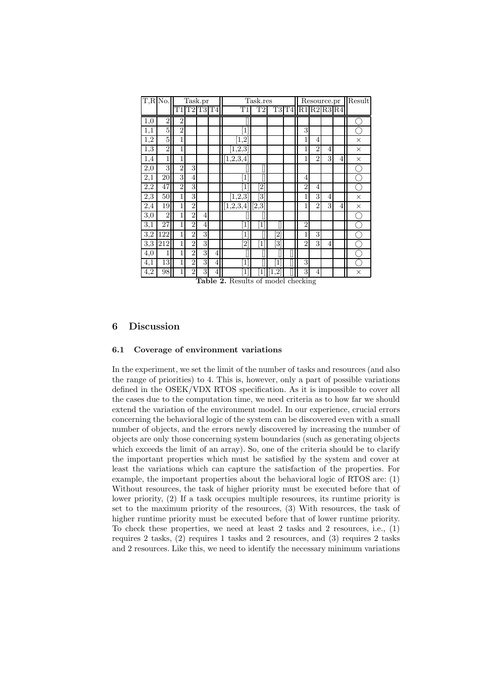| $T, R$ No.       |                | Task.pr        |                |                |                               | Task.res               |                              |                | $\overline{\text{Resource}}$ . Pr |                               |                |                | Result |          |
|------------------|----------------|----------------|----------------|----------------|-------------------------------|------------------------|------------------------------|----------------|-----------------------------------|-------------------------------|----------------|----------------|--------|----------|
|                  |                | T1             | T2             | T <sub>3</sub> | T <sub>4</sub>                | T1                     | T2                           | T3T4           |                                   | $R1$ $R2$ $R3$ $R4$           |                |                |        |          |
| 1,0              | $\overline{2}$ | $\overline{2}$ |                |                |                               |                        |                              |                |                                   |                               |                |                |        |          |
| 1,1              | 5              | $\overline{2}$ |                |                |                               | 1                      |                              |                |                                   | 3                             |                |                |        |          |
| $\overline{1,2}$ | 5              | 1              |                |                |                               | $\overline{1,2}$       |                              |                |                                   | 1                             | $\overline{4}$ |                |        | $\times$ |
| 1,3              | $\overline{2}$ | 1              |                |                |                               | [1, 2, 3]              |                              |                |                                   | 1                             | $\overline{2}$ | 4              |        | $\times$ |
| 1,4              | 1              | 1              |                |                |                               | [1, 2, 3, 4]           |                              |                |                                   | 1                             | $\overline{2}$ | 3              | 4      | $\times$ |
| 2,0              | 3              | $\overline{2}$ | 3              |                |                               |                        |                              |                |                                   |                               |                |                |        |          |
| $^{2,1}$         | 20             | 3              | 4              |                |                               | [1                     |                              |                |                                   | 4                             |                |                |        |          |
| 2,2              | 47             | $\overline{2}$ | 3              |                |                               | 1                      | $\overline{2}$               |                |                                   | $\overline{2}$                | 4              |                |        |          |
| $\overline{2,3}$ | 50             | 1              | 3              |                |                               | [1, 2, 3]              | $\left\lceil 3 \right\rceil$ |                |                                   | 1                             | 3              | 4              |        | $\times$ |
| 2,4              | 19             | 1              | $\overline{2}$ |                |                               | $\overline{[1,2,3,4]}$ | [2,3]                        |                |                                   |                               | $\overline{2}$ | 3              | 4      | $\times$ |
| 3,0              | $\overline{2}$ | 1              | $\overline{2}$ | 4              |                               |                        |                              |                |                                   |                               |                |                |        |          |
| 3,1              | 27             | 1              | $\overline{2}$ | 4              |                               | 1                      | $\left  \right $             |                |                                   | $\overline{2}$                |                |                |        |          |
| 3,2              | 122            | 1              | $\overline{2}$ | 3              |                               | 1                      |                              | $\overline{2}$ |                                   | 1                             | 3              |                |        |          |
| 3,3              | 212            | 1              | $\overline{2}$ | 3              |                               | $\overline{2}$         | $\left  \right $             | 3              |                                   | $\overline{2}$                | 3              | $\overline{4}$ |        |          |
| 4,0              | 1              | 1              | $\overline{2}$ | 3              | 4                             |                        |                              |                |                                   |                               |                |                |        |          |
| 4,1              | 13             | 1              | $\overline{2}$ | 3              | 4                             | 1                      |                              | 1              |                                   | 3                             |                |                |        |          |
| 4,2              | 98             | 1              | $\overline{2}$ | 3<br>$\sim$    | 4<br>$\overline{\phantom{a}}$ | 1<br>∽<br>ъ.           | 1                            | 2              | Ŧ                                 | 3<br>$\overline{\phantom{a}}$ | 4              |                |        | $\times$ |

Table 2. Results of model checking

# 6 Discussion

# 6.1 Coverage of environment variations

In the experiment, we set the limit of the number of tasks and resources (and also the range of priorities) to 4. This is, however, only a part of possible variations defined in the OSEK/VDX RTOS specification. As it is impossible to cover all the cases due to the computation time, we need criteria as to how far we should extend the variation of the environment model. In our experience, crucial errors concerning the behavioral logic of the system can be discovered even with a small number of objects, and the errors newly discovered by increasing the number of objects are only those concerning system boundaries (such as generating objects which exceeds the limit of an array). So, one of the criteria should be to clarify the important properties which must be satisfied by the system and cover at least the variations which can capture the satisfaction of the properties. For example, the important properties about the behavioral logic of RTOS are: (1) Without resources, the task of higher priority must be executed before that of lower priority, (2) If a task occupies multiple resources, its runtime priority is set to the maximum priority of the resources, (3) With resources, the task of higher runtime priority must be executed before that of lower runtime priority. To check these properties, we need at least 2 tasks and 2 resources, i.e., (1) requires 2 tasks, (2) requires 1 tasks and 2 resources, and (3) requires 2 tasks and 2 resources. Like this, we need to identify the necessary minimum variations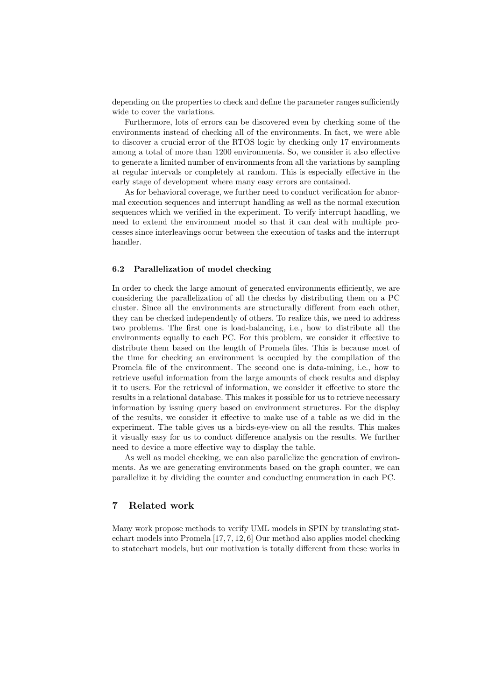depending on the properties to check and define the parameter ranges sufficiently wide to cover the variations.

Furthermore, lots of errors can be discovered even by checking some of the environments instead of checking all of the environments. In fact, we were able to discover a crucial error of the RTOS logic by checking only 17 environments among a total of more than 1200 environments. So, we consider it also effective to generate a limited number of environments from all the variations by sampling at regular intervals or completely at random. This is especially effective in the early stage of development where many easy errors are contained.

As for behavioral coverage, we further need to conduct verification for abnormal execution sequences and interrupt handling as well as the normal execution sequences which we verified in the experiment. To verify interrupt handling, we need to extend the environment model so that it can deal with multiple processes since interleavings occur between the execution of tasks and the interrupt handler.

#### 6.2 Parallelization of model checking

In order to check the large amount of generated environments efficiently, we are considering the parallelization of all the checks by distributing them on a PC cluster. Since all the environments are structurally different from each other, they can be checked independently of others. To realize this, we need to address two problems. The first one is load-balancing, i.e., how to distribute all the environments equally to each PC. For this problem, we consider it effective to distribute them based on the length of Promela files. This is because most of the time for checking an environment is occupied by the compilation of the Promela file of the environment. The second one is data-mining, i.e., how to retrieve useful information from the large amounts of check results and display it to users. For the retrieval of information, we consider it effective to store the results in a relational database. This makes it possible for us to retrieve necessary information by issuing query based on environment structures. For the display of the results, we consider it effective to make use of a table as we did in the experiment. The table gives us a birds-eye-view on all the results. This makes it visually easy for us to conduct difference analysis on the results. We further need to device a more effective way to display the table.

As well as model checking, we can also parallelize the generation of environments. As we are generating environments based on the graph counter, we can parallelize it by dividing the counter and conducting enumeration in each PC.

# 7 Related work

Many work propose methods to verify UML models in SPIN by translating statechart models into Promela [17, 7, 12, 6] Our method also applies model checking to statechart models, but our motivation is totally different from these works in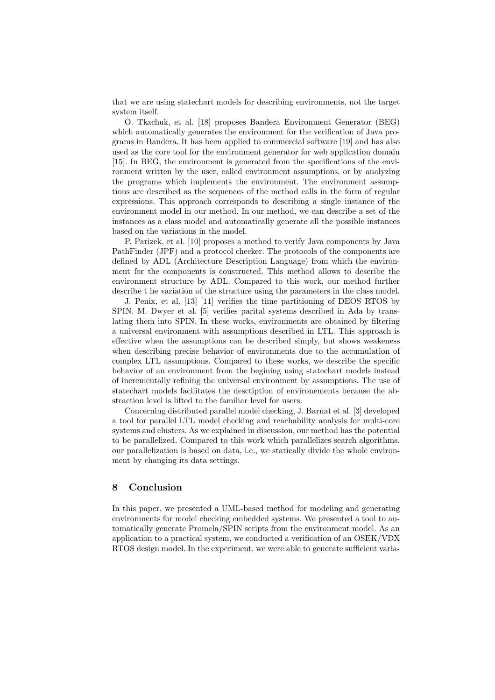that we are using statechart models for describing environments, not the target system itself.

O. Tkachuk, et al. [18] proposes Bandera Environment Generator (BEG) which automatically generates the environment for the verification of Java programs in Bandera. It has been applied to commercial software [19] and has also used as the core tool for the environment generator for web application domain [15]. In BEG, the environment is generated from the specifications of the environment written by the user, called environment assumptions, or by analyzing the programs which implements the environment. The environment assumptions are described as the sequences of the method calls in the form of regular expressions. This approach corresponds to describing a single instance of the environment model in our method. In our method, we can describe a set of the instances as a class model and automatically generate all the possible instances based on the variations in the model.

P. Parizek, et al. [10] proposes a method to verify Java components by Java PathFinder (JPF) and a protocol checker. The protocols of the components are defined by ADL (Architecture Description Language) from which the environment for the components is constructed. This method allows to describe the environment structure by ADL. Compared to this work, our method further describe t he variation of the structure using the parameters in the class model.

J. Penix, et al. [13] [11] verifies the time partitioning of DEOS RTOS by SPIN. M. Dwyer et al. [5] verifies parital systems described in Ada by translating them into SPIN. In these works, environments are obtained by filtering a universal environment with assumptions described in LTL. This approach is effective when the assumptions can be described simply, but shows weakeness when describing precise behavior of environments due to the accumulation of complex LTL assumptions. Compared to these works, we describe the specific behavior of an environment from the begining using statechart models instead of incrementally refining the universal environment by assumptions. The use of statechart models facilitates the desctiption of environements because the abstraction level is lifted to the familiar level for users.

Concerning distributed parallel model checking, J. Barnat et al. [3] developed a tool for parallel LTL model checking and reachability analysis for multi-core systems and clusters. As we explained in discussion, our method has the potential to be parallelized. Compared to this work which parallelizes search algorithms, our parallelization is based on data, i.e., we statically divide the whole environment by changing its data settings.

# 8 Conclusion

In this paper, we presented a UML-based method for modeling and generating environments for model checking embedded systems. We presented a tool to automatically generate Promela/SPIN scripts from the environment model. As an application to a practical system, we conducted a verification of an OSEK/VDX RTOS design model. In the experiment, we were able to generate sufficient varia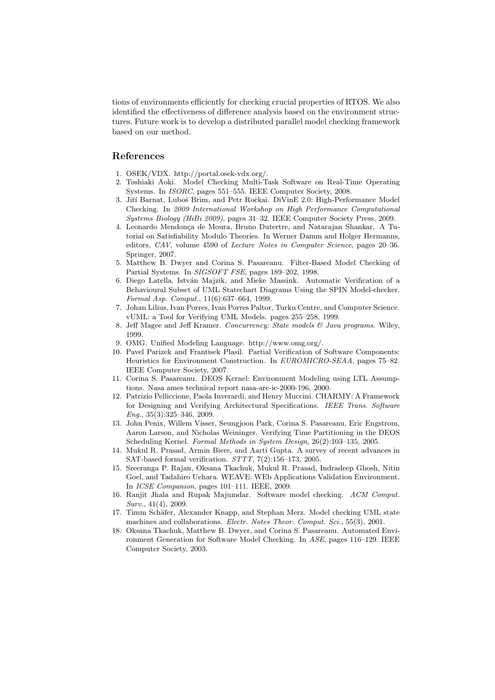tions of environments efficiently for checking crucial properties of RTOS. We also identified the effectiveness of difference analysis based on the environment structures. Future work is to develop a distributed parallel model checking framework based on our method.

## References

- 1. OSEK/VDX. http://portal.osek-vdx.org/.
- 2. Toshiaki Aoki. Model Checking Multi-Task Software on Real-Time Operating Systems. In *ISORC*, pages 551–555. IEEE Computer Society, 2008.
- 3. Jiří Barnat, Luboš Brim, and Petr Ročkai. DiVinE 2.0: High-Performance Model Checking. In *2009 International Workshop on High Performance Computational Systems Biology (HiBi 2009)*, pages 31–32. IEEE Computer Society Press, 2009.
- 4. Leonardo Mendonça de Moura, Bruno Dutertre, and Natarajan Shankar. A Tutorial on Satisfiability Modulo Theories. In Werner Damm and Holger Hermanns, editors, *CAV*, volume 4590 of *Lecture Notes in Computer Science*, pages 20–36. Springer, 2007.
- 5. Matthew B. Dwyer and Corina S. Pasareanu. Filter-Based Model Checking of Partial Systems. In *SIGSOFT FSE*, pages 189–202, 1998.
- 6. Diego Latella, Istv´an Majzik, and Mieke Massink. Automatic Verification of a Behavioural Subset of UML Statechart Diagrams Using the SPIN Model-checker. *Formal Asp. Comput.*, 11(6):637–664, 1999.
- 7. Johan Lilius, Ivan Porres, Ivan Porres Paltor, Turku Centre, and Computer Science. vUML: a Tool for Verifying UML Models. pages 255–258, 1999.
- 8. Jeff Magee and Jeff Kramer. *Concurrency: State models & Java programs*. Wiley, 1999.
- 9. OMG. Unified Modeling Language. http://www.omg.org/.
- 10. Pavel Parizek and Frantisek Plasil. Partial Verification of Software Components: Heuristics for Environment Construction. In *EUROMICRO-SEAA*, pages 75–82. IEEE Computer Society, 2007.
- 11. Corina S. Pasareanu. DEOS Kernel: Environment Modeling using LTL Assumptions. Nasa ames technical report nasa-arc-ic-2000-196, 2000.
- 12. Patrizio Pelliccione, Paola Inverardi, and Henry Muccini. CHARMY: A Framework for Designing and Verifying Architectural Specifications. *IEEE Trans. Software Eng.*, 35(3):325–346, 2009.
- 13. John Penix, Willem Visser, Seungjoon Park, Corina S. Pasareanu, Eric Engstrom, Aaron Larson, and Nicholas Weininger. Verifying Time Partitioning in the DEOS Scheduling Kernel. *Formal Methods in System Design*, 26(2):103–135, 2005.
- 14. Mukul R. Prasad, Armin Biere, and Aarti Gupta. A survey of recent advances in SAT-based formal verification. *STTT*, 7(2):156–173, 2005.
- 15. Sreeranga P. Rajan, Oksana Tkachuk, Mukul R. Prasad, Indradeep Ghosh, Nitin Goel, and Tadahiro Uehara. WEAVE: WEb Applications Validation Environment. In *ICSE Companion*, pages 101–111. IEEE, 2009.
- 16. Ranjit Jhala and Rupak Majumdar. Software model checking. *ACM Comput. Surv.*, 41(4), 2009.
- 17. Timm Schäfer, Alexander Knapp, and Stephan Merz. Model checking UML state machines and collaborations. *Electr. Notes Theor. Comput. Sci.*, 55(3), 2001.
- 18. Oksana Tkachuk, Matthew B. Dwyer, and Corina S. Pasareanu. Automated Environment Generation for Software Model Checking. In *ASE*, pages 116–129. IEEE Computer Society, 2003.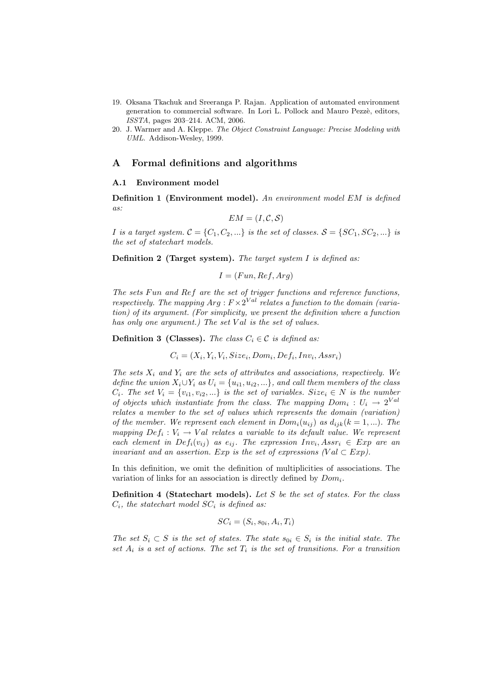- 19. Oksana Tkachuk and Sreeranga P. Rajan. Application of automated environment generation to commercial software. In Lori L. Pollock and Mauro Pezzè, editors, *ISSTA*, pages 203–214. ACM, 2006.
- 20. J. Warmer and A. Kleppe. *The Object Constraint Language: Precise Modeling with UML*. Addison-Wesley, 1999.

## A Formal definitions and algorithms

#### A.1 Environment model

Definition 1 (Environment model). *An environment model* EM *is defined as:*

$$
EM = (I, \mathcal{C}, \mathcal{S})
$$

*I is a target system.*  $C = \{C_1, C_2, ...\}$  *is the set of classes.*  $S = \{SC_1, SC_2, ...\}$  *is the set of statechart models.*

Definition 2 (Target system). *The target system* I *is defined as:*

$$
I = (Fun, Ref, Arg)
$$

*The sets* Fun *and* Ref *are the set of trigger functions and reference functions, respectively. The mapping*  $Arg: F \times 2^{Val}$  *relates a function to the domain (variation) of its argument. (For simplicity, we present the definition where a function has only one argument.) The set Val is the set of values.* 

**Definition 3 (Classes).** *The class*  $C_i \in \mathcal{C}$  *is defined as:* 

$$
C_i = (X_i, Y_i, V_i, Size_i, Dom_i, Def_i, Inv_i, Assr_i)
$$

*The sets*  $X_i$  *and*  $Y_i$  *are the sets of attributes and associations, respectively. We define the union*  $X_i \cup Y_i$  *as*  $U_i = \{u_{i1}, u_{i2}, ...\}$ *, and call them members of the class*  $C_i$ *. The set*  $V_i = \{v_{i1}, v_{i2}, ...\}$  *is the set of variables. Size<sub>i</sub>*  $\in N$  *is the number of objects which instantiate from the class. The mapping*  $Dom_i: U_i \rightarrow 2^{Val}$ *relates a member to the set of values which represents the domain (variation) of the member. We represent each element in*  $Dom_i(u_{ij})$  *as*  $d_{ijk}(k = 1, ...)$ *. The mapping*  $Def_i: V_i \to Val$  *relates a variable to its default value. We represent each element in Def<sub>i</sub>*( $v_{ij}$ ) *as e<sub>ij</sub>*. The expression  $Inv_i, Assr_i \in Exp$  *are an invariant and an assertion.* Exp *is the set of expressions (Val*  $\subset$  Exp).

In this definition, we omit the definition of multiplicities of associations. The variation of links for an association is directly defined by  $Dom_i$ .

Definition 4 (Statechart models). *Let* S *be the set of states. For the class*  $C_i$ , the statechart model  $SC_i$  is defined as:

$$
SC_i = (S_i, s_{0i}, A_i, T_i)
$$

*The set*  $S_i \subset S$  *is the set of states. The state*  $s_{0i} \in S_i$  *is the initial state. The* set  $A_i$  *is a set of actions. The set*  $T_i$  *is the set of transitions. For a transition*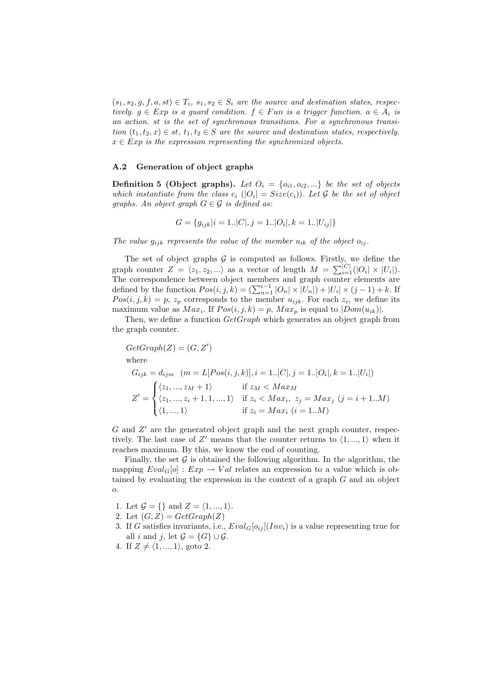$(s_1, s_2, g, f, a, st) \in T_i$ ,  $s_1, s_2 \in S_i$  are the source and destination states, respec*tively.*  $g \in Exp$  *is a guard condition.*  $f \in Fun$  *is a trigger function.*  $a \in A_i$  *is an action.* st *is the set of synchronous transitions. For a synchronous transition*  $(t_1, t_2, x) \in st$ ,  $t_1, t_2 \in S$  *are the source and destination states, respectively.*  $x \in Exp$  *is the expression representing the synchronized objects.* 

#### A.2 Generation of object graphs

**Definition 5 (Object graphs).** Let  $O_i = \{o_{i1}, o_{i2}, ...\}$  be the set of objects *which instantiate from the class*  $c_i$  ( $|O_i| = Size(c_i)$ ). Let G be the set of object *graphs. An object graph* G ∈ G *is defined as:*

$$
G = \{g_{ijk}|i = 1..|C|, j = 1..|O_i|, k = 1..|U_{ij}|\}
$$

The value  $g_{ijk}$  represents the value of the member  $u_{ik}$  of the object  $o_{ij}$ .

The set of object graphs  $G$  is computed as follows. Firstly, we define the graph counter  $Z = \langle z_1, z_2, \ldots \rangle$  as a vector of length  $M = \sum_{i=1}^{|C|} (|O_i| \times |U_i|)$ . The correspondence between object members and graph counter elements are defined by the function  $Pos(i, j, k) = (\sum_{n=1}^{i-1} |O_n| \times |U_n|) + |U_i| \times (j-1) + k$ . If  $Pos(i, j, k) = p$ ,  $z_p$  corresponds to the member  $u_{ijk}$ . For each  $z_i$ , we define its maximum value as  $Max_i$ . If  $Pos(i, j, k) = p$ ,  $Max_p$  is equal to  $|Dom(u_{ik})|$ .

Then, we define a function  $GetGraph$  which generates an object graph from the graph counter.

$$
GetGraph(Z) = (G, Z')
$$
  
where  

$$
G_{ijk} = d_{ijm} \quad (m = L[Pos(i, j, k)], i = 1..|C|, j = 1..|O_i|, k = 1..|U_i|)
$$

$$
Z' = \begin{cases} \langle z_1, ..., z_M + 1 \rangle & \text{if } z_M < Max_M \\ \langle z_1, ..., z_i + 1, 1, ..., 1 \rangle & \text{if } z_i < Max_i, z_j = Max_j \ (j = i + 1..M) \\ \langle 1, ..., 1 \rangle & \text{if } z_i = Max_i \ (i = 1..M) \end{cases}
$$

 $G$  and  $Z'$  are the generated object graph and the next graph counter, respectively. The last case of Z' means that the counter returns to  $\langle 1, ..., 1 \rangle$  when it reaches maximum. By this, we know the end of counting.

Finally, the set  $\mathcal G$  is obtained the following algorithm. In the algorithm, the mapping  $Eval_G[o] : Exp \rightarrow Val$  relates an expression to a value which is obtained by evaluating the expression in the context of a graph  $G$  and an object o.

1. Let  $\mathcal{G} = \{\}\$ and  $Z = \langle 1, ..., 1 \rangle$ .

2. Let  $(G, Z) = GetGraph(Z)$ 

3. If G satisfies invariants, i.e.,  $Eval_G[o_{ij}](Inv_i)$  is a value representing true for all i and j, let  $\mathcal{G} = \{G\} \cup \mathcal{G}$ .

4. If  $Z \neq \langle 1, ..., 1 \rangle$ , goto 2.